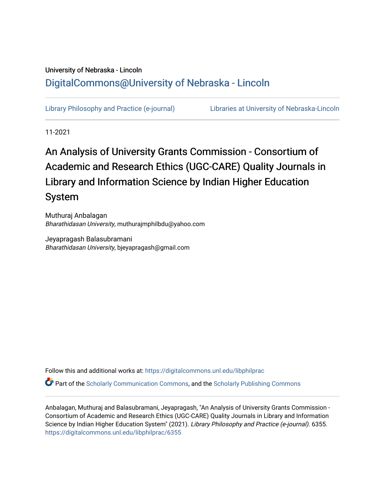### University of Nebraska - Lincoln [DigitalCommons@University of Nebraska - Lincoln](https://digitalcommons.unl.edu/)

[Library Philosophy and Practice \(e-journal\)](https://digitalcommons.unl.edu/libphilprac) [Libraries at University of Nebraska-Lincoln](https://digitalcommons.unl.edu/libraries) 

11-2021

# An Analysis of University Grants Commission - Consortium of Academic and Research Ethics (UGC-CARE) Quality Journals in Library and Information Science by Indian Higher Education System

Muthuraj Anbalagan Bharathidasan University, muthurajmphilbdu@yahoo.com

Jeyapragash Balasubramani Bharathidasan University, bjeyapragash@gmail.com

Follow this and additional works at: [https://digitalcommons.unl.edu/libphilprac](https://digitalcommons.unl.edu/libphilprac?utm_source=digitalcommons.unl.edu%2Flibphilprac%2F6355&utm_medium=PDF&utm_campaign=PDFCoverPages) 

Part of the [Scholarly Communication Commons,](http://network.bepress.com/hgg/discipline/1272?utm_source=digitalcommons.unl.edu%2Flibphilprac%2F6355&utm_medium=PDF&utm_campaign=PDFCoverPages) and the [Scholarly Publishing Commons](http://network.bepress.com/hgg/discipline/1273?utm_source=digitalcommons.unl.edu%2Flibphilprac%2F6355&utm_medium=PDF&utm_campaign=PDFCoverPages)

Anbalagan, Muthuraj and Balasubramani, Jeyapragash, "An Analysis of University Grants Commission - Consortium of Academic and Research Ethics (UGC-CARE) Quality Journals in Library and Information Science by Indian Higher Education System" (2021). Library Philosophy and Practice (e-journal). 6355. [https://digitalcommons.unl.edu/libphilprac/6355](https://digitalcommons.unl.edu/libphilprac/6355?utm_source=digitalcommons.unl.edu%2Flibphilprac%2F6355&utm_medium=PDF&utm_campaign=PDFCoverPages)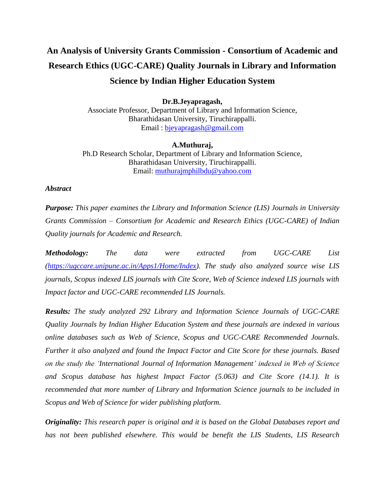## **An Analysis of University Grants Commission - Consortium of Academic and Research Ethics (UGC-CARE) Quality Journals in Library and Information Science by Indian Higher Education System**

**Dr.B.Jeyapragash,** Associate Professor, Department of Library and Information Science, Bharathidasan University, Tiruchirappalli. Email : [bjeyapragash@gmail.com](mailto:bjeyapragash@gmail.com)

**A.Muthuraj,** Ph.D Research Scholar, Department of Library and Information Science, Bharathidasan University, Tiruchirappalli. Email: [muthurajmphilbdu@yahoo.com](mailto:muthurajmphilbdu@yahoo.com)

#### *Abstract*

*Purpose: This paper examines the Library and Information Science (LIS) Journals in University Grants Commission – Consortium for Academic and Research Ethics (UGC-CARE) of Indian Quality journals for Academic and Research.*

*Methodology: The data were extracted from UGC-CARE List [\(https://ugccare.unipune.ac.in/Apps1/Home/Index\)](https://ugccare.unipune.ac.in/Apps1/Home/Index). The study also analyzed source wise LIS journals, Scopus indexed LIS journals with Cite Score, Web of Science indexed LIS journals with Impact factor and UGC-CARE recommended LIS Journals.* 

*Results: The study analyzed 292 Library and Information Science Journals of UGC-CARE Quality Journals by Indian Higher Education System and these journals are indexed in various online databases such as Web of Science, Scopus and UGC-CARE Recommended Journals. Further it also analyzed and found the Impact Factor and Cite Score for these journals. Based on the study the 'International Journal of Information Management' indexed in Web of Science and Scopus database has highest Impact Factor (5.063) and Cite Score (14.1). It is recommended that more number of Library and Information Science journals to be included in Scopus and Web of Science for wider publishing platform.* 

*Originality: This research paper is original and it is based on the Global Databases report and has not been published elsewhere. This would be benefit the LIS Students, LIS Research*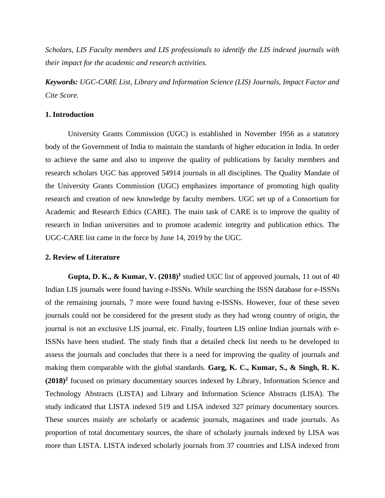*Scholars, LIS Faculty members and LIS professionals to identify the LIS indexed journals with their impact for the academic and research activities.*

*Keywords: UGC-CARE List, Library and Information Science (LIS) Journals, Impact Factor and Cite Score.*

#### **1. Introduction**

University Grants Commission (UGC) is established in November 1956 as a statutory body of the Government of India to maintain the standards of higher education in India. In order to achieve the same and also to improve the quality of publications by faculty members and research scholars UGC has approved 54914 journals in all disciplines. The Quality Mandate of the University Grants Commission (UGC) emphasizes importance of promoting high quality research and creation of new knowledge by faculty members. UGC set up of a Consortium for Academic and Research Ethics (CARE). The main task of CARE is to improve the quality of research in Indian universities and to promote academic integrity and publication ethics. The UGC-CARE list came in the force by June 14, 2019 by the UGC.

#### **2. Review of Literature**

**Gupta, D. K., & Kumar, V. (2018)<sup>1</sup>** studied UGC list of approved journals, 11 out of 40 Indian LIS journals were found having e-ISSNs. While searching the ISSN database for e-ISSNs of the remaining journals, 7 more were found having e-ISSNs. However, four of these seven journals could not be considered for the present study as they had wrong country of origin, the journal is not an exclusive LIS journal, etc. Finally, fourteen LIS online Indian journals with e-ISSNs have been studied. The study finds that a detailed check list needs to be developed to assess the journals and concludes that there is a need for improving the quality of journals and making them comparable with the global standards. **Garg, K. C., Kumar, S., & Singh, R. K. (2018)<sup>2</sup>** focused on primary documentary sources indexed by Library, Information Science and Technology Abstracts (LISTA) and Library and Information Science Abstracts (LISA). The study indicated that LISTA indexed 519 and LISA indexed 327 primary documentary sources. These sources mainly are scholarly or academic journals, magazines and trade journals. As proportion of total documentary sources, the share of scholarly journals indexed by LISA was more than LISTA. LISTA indexed scholarly journals from 37 countries and LISA indexed from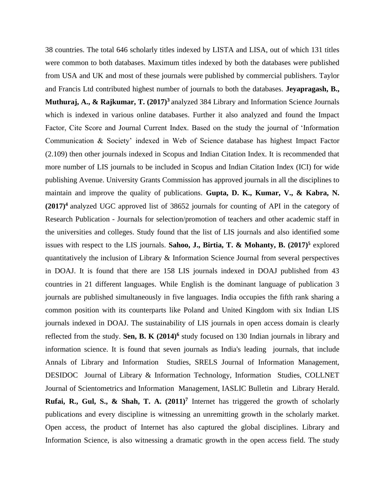38 countries. The total 646 scholarly titles indexed by LISTA and LISA, out of which 131 titles were common to both databases. Maximum titles indexed by both the databases were published from USA and UK and most of these journals were published by commercial publishers. Taylor and Francis Ltd contributed highest number of journals to both the databases. **Jeyapragash, B., Muthuraj, A., & Rajkumar, T. (2017)<sup>3</sup>**analyzed 384 Library and Information Science Journals which is indexed in various online databases. Further it also analyzed and found the Impact Factor, Cite Score and Journal Current Index. Based on the study the journal of 'Information Communication & Society' indexed in Web of Science database has highest Impact Factor (2.109) then other journals indexed in Scopus and Indian Citation Index. It is recommended that more number of LIS journals to be included in Scopus and Indian Citation Index (ICI) for wide publishing Avenue. University Grants Commission has approved journals in all the disciplines to maintain and improve the quality of publications. **Gupta, D. K., Kumar, V., & Kabra, N. (2017)<sup>4</sup>**analyzed UGC approved list of 38652 journals for counting of API in the category of Research Publication - Journals for selection/promotion of teachers and other academic staff in the universities and colleges. Study found that the list of LIS journals and also identified some issues with respect to the LIS journals. **Sahoo, J., Birtia, T. & Mohanty, B. (2017)<sup>5</sup>** explored quantitatively the inclusion of Library & Information Science Journal from several perspectives in DOAJ. It is found that there are 158 LIS journals indexed in DOAJ published from 43 countries in 21 different languages. While English is the dominant language of publication 3 journals are published simultaneously in five languages. India occupies the fifth rank sharing a common position with its counterparts like Poland and United Kingdom with six Indian LIS journals indexed in DOAJ. The sustainability of LIS journals in open access domain is clearly reflected from the study. **Sen, B. K (2014)<sup>6</sup>** study focused on 130 Indian journals in library and information science. It is found that seven journals as India's leading journals, that include Annals of Library and Information Studies, SRELS Journal of Information Management, DESIDOC Journal of Library & Information Technology, Information Studies, COLLNET Journal of Scientometrics and Information Management, IASLIC Bulletin and Library Herald. **Rufai, R., Gul, S., & Shah, T. A. (2011)<sup>7</sup>** Internet has triggered the growth of scholarly publications and every discipline is witnessing an unremitting growth in the scholarly market. Open access, the product of Internet has also captured the global disciplines. Library and Information Science, is also witnessing a dramatic growth in the open access field. The study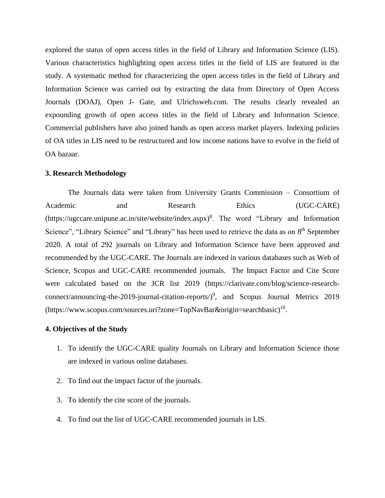explored the status of open access titles in the field of Library and Information Science (LIS). Various characteristics highlighting open access titles in the field of LIS are featured in the study. A systematic method for characterizing the open access titles in the field of Library and Information Science was carried out by extracting the data from Directory of Open Access Journals (DOAJ), Open J- Gate, and Ulrichsweb.com. The results clearly revealed an expounding growth of open access titles in the field of Library and Information Science. Commercial publishers have also joined hands as open access market players. Indexing policies of OA titles in LIS need to be restructured and low income nations have to evolve in the field of OA bazaar.

#### **3. Research Methodology**

The Journals data were taken from University Grants Commission – Consortium of Academic and Research Ethics (UGC-CARE) (https://ugccare.unipune.ac.in/site/website/index.aspx)<sup>8</sup>. The word "Library and Information Science", "Library Science" and "Library" has been used to retrieve the data as on 8<sup>th</sup> September 2020. A total of 292 journals on Library and Information Science have been approved and recommended by the UGC-CARE. The Journals are indexed in various databases such as Web of Science, Scopus and UGC-CARE recommended journals. The Impact Factor and Cite Score were calculated based on the JCR list 2019 (https://clarivate.com/blog/science-research $connect/announcing-the-2019-journal-citation-reports/$ <sup>9</sup>, and Scopus Journal Metrics 2019 (https://www.scopus.com/sources.uri?zone=TopNavBar&origin=searchbasic)<sup>10</sup>.

#### **4. Objectives of the Study**

- 1. To identify the UGC-CARE quality Journals on Library and Information Science those are indexed in various online databases.
- 2. To find out the impact factor of the journals.
- 3. To identify the cite score of the journals.
- 4. To find out the list of UGC-CARE recommended journals in LIS.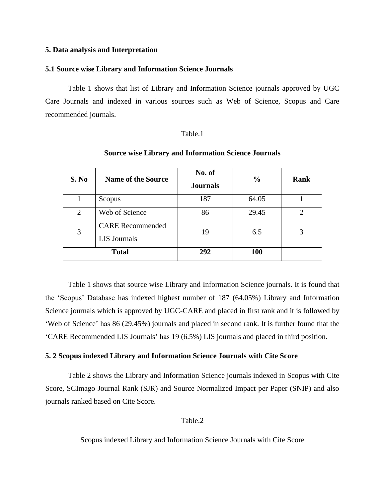#### **5. Data analysis and Interpretation**

#### **5.1 Source wise Library and Information Science Journals**

Table 1 shows that list of Library and Information Science journals approved by UGC Care Journals and indexed in various sources such as Web of Science, Scopus and Care recommended journals.

#### Table.1

| S. No          | <b>Name of the Source</b>                      | No. of<br><b>Journals</b> | $\frac{0}{0}$ | Rank |
|----------------|------------------------------------------------|---------------------------|---------------|------|
|                | Scopus                                         | 187                       | 64.05         |      |
| $\overline{2}$ | Web of Science                                 | 86                        | 29.45         |      |
| 3              | <b>CARE Recommended</b><br><b>LIS</b> Journals | 19                        | 6.5           |      |
|                | <b>Total</b>                                   | 292                       | 100           |      |

#### **Source wise Library and Information Science Journals**

Table 1 shows that source wise Library and Information Science journals. It is found that the 'Scopus' Database has indexed highest number of 187 (64.05%) Library and Information Science journals which is approved by UGC-CARE and placed in first rank and it is followed by 'Web of Science' has 86 (29.45%) journals and placed in second rank. It is further found that the 'CARE Recommended LIS Journals' has 19 (6.5%) LIS journals and placed in third position.

#### **5. 2 Scopus indexed Library and Information Science Journals with Cite Score**

Table 2 shows the Library and Information Science journals indexed in Scopus with Cite Score, SCImago Journal Rank (SJR) and Source Normalized Impact per Paper (SNIP) and also journals ranked based on Cite Score.

#### Table.2

Scopus indexed Library and Information Science Journals with Cite Score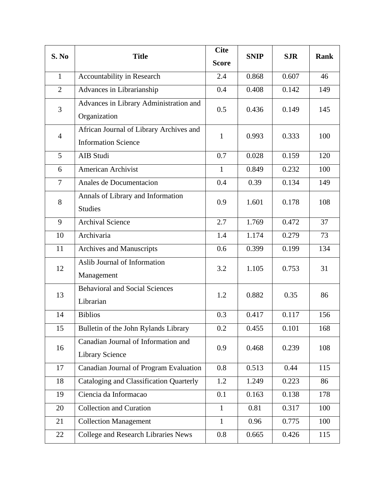| S. No          | <b>Title</b>                            | <b>Cite</b><br><b>Score</b> | <b>SNIP</b> | <b>SJR</b> | <b>Rank</b> |
|----------------|-----------------------------------------|-----------------------------|-------------|------------|-------------|
|                |                                         |                             |             |            |             |
| $\mathbf{1}$   | Accountability in Research              | 2.4                         | 0.868       | 0.607      | 46          |
| $\overline{2}$ | Advances in Librarianship               | 0.4                         | 0.408       | 0.142      | 149         |
| $\overline{3}$ | Advances in Library Administration and  | 0.5                         | 0.436       | 0.149      | 145         |
|                | Organization                            |                             |             |            |             |
| $\overline{4}$ | African Journal of Library Archives and | $\mathbf{1}$                | 0.993       | 0.333      | 100         |
|                | <b>Information Science</b>              |                             |             |            |             |
| 5              | AIB Studi                               | 0.7                         | 0.028       | 0.159      | 120         |
| 6              | American Archivist                      | $\mathbf{1}$                | 0.849       | 0.232      | 100         |
| $\overline{7}$ | Anales de Documentacion                 | 0.4                         | 0.39        | 0.134      | 149         |
| 8              | Annals of Library and Information       | 0.9                         | 1.601       | 0.178      | 108         |
|                | <b>Studies</b>                          |                             |             |            |             |
| 9              | <b>Archival Science</b>                 | 2.7                         | 1.769       | 0.472      | 37          |
| 10             | Archivaria                              | 1.4                         | 1.174       | 0.279      | 73          |
| 11             | <b>Archives and Manuscripts</b>         | 0.6                         | 0.399       | 0.199      | 134         |
| 12             | Aslib Journal of Information            | 3.2                         | 1.105       | 0.753      | 31          |
|                | Management                              |                             |             |            |             |
| 13             | <b>Behavioral and Social Sciences</b>   | 1.2                         | 0.882       | 0.35       | 86          |
|                | Librarian                               |                             |             |            |             |
| 14             | <b>Biblios</b>                          | 0.3                         | 0.417       | 0.117      | 156         |
| 15             | Bulletin of the John Rylands Library    | 0.2                         | 0.455       | 0.101      | 168         |
| 16             | Canadian Journal of Information and     | 0.9                         | 0.468       | 0.239      | 108         |
|                | <b>Library Science</b>                  |                             |             |            |             |
| 17             | Canadian Journal of Program Evaluation  | 0.8                         | 0.513       | 0.44       | 115         |
| 18             | Cataloging and Classification Quarterly | 1.2                         | 1.249       | 0.223      | 86          |
| 19             | Ciencia da Informacao                   | 0.1                         | 0.163       | 0.138      | 178         |
| 20             | <b>Collection and Curation</b>          | $\mathbf{1}$                | 0.81        | 0.317      | 100         |
| 21             | <b>Collection Management</b>            | $\mathbf{1}$                | 0.96        | 0.775      | 100         |
| 22             | College and Research Libraries News     | 0.8                         | 0.665       | 0.426      | 115         |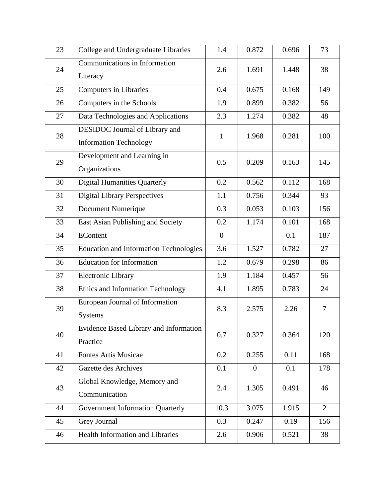| 23 | College and Undergraduate Libraries                             | 1.4            | 0.872          | 0.696 | 73             |
|----|-----------------------------------------------------------------|----------------|----------------|-------|----------------|
| 24 | Communications in Information<br>Literacy                       | 2.6            | 1.691          | 1.448 | 38             |
| 25 | <b>Computers in Libraries</b>                                   | 0.4            | 0.675          | 0.168 | 149            |
| 26 | Computers in the Schools                                        | 1.9            | 0.899          | 0.382 | 56             |
| 27 | Data Technologies and Applications                              | 2.3            | 1.274          | 0.382 | 48             |
| 28 | DESIDOC Journal of Library and<br><b>Information Technology</b> | $\mathbf{1}$   | 1.968          | 0.281 | 100            |
| 29 | Development and Learning in<br>Organizations                    | 0.5            | 0.209          | 0.163 | 145            |
| 30 | <b>Digital Humanities Quarterly</b>                             | 0.2            | 0.562          | 0.112 | 168            |
| 31 | <b>Digital Library Perspectives</b>                             | 1.1            | 0.756          | 0.344 | 93             |
| 32 | Document Numerique                                              | 0.3            | 0.053          | 0.103 | 156            |
| 33 | East Asian Publishing and Society                               | 0.2            | 1.174          | 0.101 | 168            |
| 34 | EContent                                                        | $\overline{0}$ |                | 0.1   | 187            |
| 35 | <b>Education and Information Technologies</b>                   | 3.6            | 1.527          | 0.782 | 27             |
| 36 | <b>Education for Information</b>                                | 1.2            | 0.679          | 0.298 | 86             |
| 37 | Electronic Library                                              | 1.9            | 1.184          | 0.457 | 56             |
| 38 | Ethics and Information Technology                               | 4.1            | 1.895          | 0.783 | 24             |
| 39 | European Journal of Information<br><b>Systems</b>               | 8.3            | 2.575          | 2.26  | 7              |
| 40 | Evidence Based Library and Information<br>Practice              | 0.7            | 0.327          | 0.364 | 120            |
| 41 | <b>Fontes Artis Musicae</b>                                     | 0.2            | 0.255          | 0.11  | 168            |
| 42 | <b>Gazette des Archives</b>                                     | 0.1            | $\overline{0}$ | 0.1   | 178            |
| 43 | Global Knowledge, Memory and<br>Communication                   | 2.4            | 1.305          | 0.491 | 46             |
| 44 | Government Information Quarterly                                | 10.3           | 3.075          | 1.915 | $\overline{2}$ |
| 45 | Grey Journal                                                    | 0.3            | 0.247          | 0.19  | 156            |
| 46 | <b>Health Information and Libraries</b>                         | 2.6            | 0.906          | 0.521 | 38             |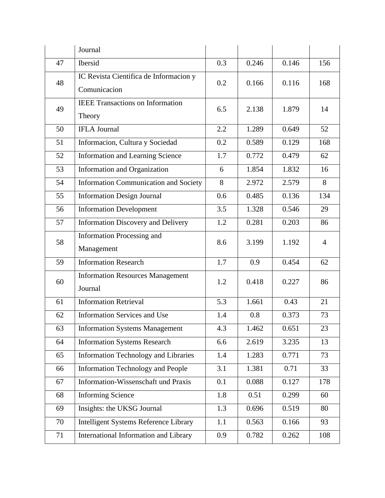|    | Journal                                                |     |       |       |     |
|----|--------------------------------------------------------|-----|-------|-------|-----|
| 47 | Ibersid                                                | 0.3 | 0.246 | 0.146 | 156 |
| 48 | IC Revista Cientifica de Informacion y<br>Comunicacion | 0.2 | 0.166 | 0.116 | 168 |
| 49 | <b>IEEE</b> Transactions on Information<br>Theory      | 6.5 | 2.138 | 1.879 | 14  |
| 50 | <b>IFLA Journal</b>                                    | 2.2 | 1.289 | 0.649 | 52  |
| 51 | Informacion, Cultura y Sociedad                        | 0.2 | 0.589 | 0.129 | 168 |
| 52 | Information and Learning Science                       | 1.7 | 0.772 | 0.479 | 62  |
| 53 | Information and Organization                           | 6   | 1.854 | 1.832 | 16  |
| 54 | <b>Information Communication and Society</b>           | 8   | 2.972 | 2.579 | 8   |
| 55 | <b>Information Design Journal</b>                      | 0.6 | 0.485 | 0.136 | 134 |
| 56 | <b>Information Development</b>                         | 3.5 | 1.328 | 0.546 | 29  |
| 57 | <b>Information Discovery and Delivery</b>              | 1.2 | 0.281 | 0.203 | 86  |
| 58 | <b>Information Processing and</b><br>Management        | 8.6 | 3.199 | 1.192 | 4   |
| 59 | <b>Information Research</b>                            | 1.7 | 0.9   | 0.454 | 62  |
| 60 | <b>Information Resources Management</b><br>Journal     | 1.2 | 0.418 | 0.227 | 86  |
| 61 | <b>Information Retrieval</b>                           | 5.3 | 1.661 | 0.43  | 21  |
| 62 | <b>Information Services and Use</b>                    | 1.4 | 0.8   | 0.373 | 73  |
| 63 | <b>Information Systems Management</b>                  | 4.3 | 1.462 | 0.651 | 23  |
| 64 | <b>Information Systems Research</b>                    | 6.6 | 2.619 | 3.235 | 13  |
| 65 | Information Technology and Libraries                   | 1.4 | 1.283 | 0.771 | 73  |
| 66 | <b>Information Technology and People</b>               | 3.1 | 1.381 | 0.71  | 33  |
| 67 | Information-Wissenschaft und Praxis                    | 0.1 | 0.088 | 0.127 | 178 |
| 68 | <b>Informing Science</b>                               | 1.8 | 0.51  | 0.299 | 60  |
| 69 | Insights: the UKSG Journal                             | 1.3 | 0.696 | 0.519 | 80  |
| 70 | Intelligent Systems Reference Library                  | 1.1 | 0.563 | 0.166 | 93  |
| 71 | International Information and Library                  | 0.9 | 0.782 | 0.262 | 108 |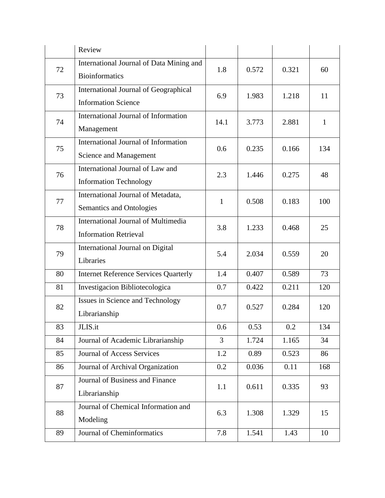|    | Review                                                                     |              |       |       |     |
|----|----------------------------------------------------------------------------|--------------|-------|-------|-----|
| 72 | International Journal of Data Mining and<br><b>Bioinformatics</b>          | 1.8          | 0.572 | 0.321 | 60  |
| 73 | International Journal of Geographical<br><b>Information Science</b>        | 6.9          | 1.983 | 1.218 | 11  |
| 74 | International Journal of Information<br>Management                         | 14.1         | 3.773 | 2.881 | 1   |
| 75 | International Journal of Information<br>Science and Management             | 0.6          | 0.235 | 0.166 | 134 |
| 76 | International Journal of Law and<br><b>Information Technology</b>          | 2.3          | 1.446 | 0.275 | 48  |
| 77 | International Journal of Metadata,<br>Semantics and Ontologies             | $\mathbf{1}$ | 0.508 | 0.183 | 100 |
| 78 | <b>International Journal of Multimedia</b><br><b>Information Retrieval</b> | 3.8          | 1.233 | 0.468 | 25  |
| 79 | International Journal on Digital<br>Libraries                              | 5.4          | 2.034 | 0.559 | 20  |
| 80 | <b>Internet Reference Services Quarterly</b>                               | 1.4          | 0.407 | 0.589 | 73  |
| 81 | Investigacion Bibliotecologica                                             | 0.7          | 0.422 | 0.211 | 120 |
| 82 | Issues in Science and Technology<br>Librarianship                          | 0.7          | 0.527 | 0.284 | 120 |
| 83 | JLIS.it                                                                    | 0.6          | 0.53  | 0.2   | 134 |
| 84 | Journal of Academic Librarianship                                          | 3            | 1.724 | 1.165 | 34  |
| 85 | <b>Journal of Access Services</b>                                          | 1.2          | 0.89  | 0.523 | 86  |
| 86 | Journal of Archival Organization                                           | 0.2          | 0.036 | 0.11  | 168 |
| 87 | Journal of Business and Finance<br>Librarianship                           | 1.1          | 0.611 | 0.335 | 93  |
| 88 | Journal of Chemical Information and<br>Modeling                            | 6.3          | 1.308 | 1.329 | 15  |
| 89 | <b>Journal of Cheminformatics</b>                                          | 7.8          | 1.541 | 1.43  | 10  |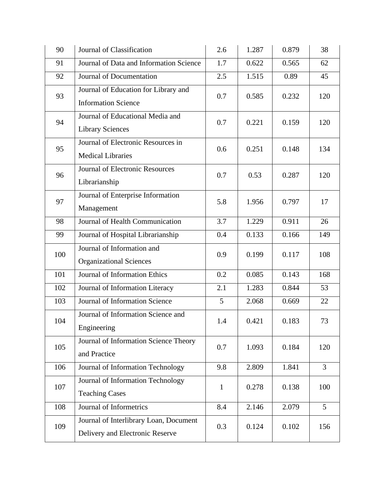| 90  | Journal of Classification                                                 | 2.6          | 1.287 | 0.879 | 38             |
|-----|---------------------------------------------------------------------------|--------------|-------|-------|----------------|
| 91  | Journal of Data and Information Science                                   | 1.7          | 0.622 | 0.565 | 62             |
| 92  | Journal of Documentation                                                  | 2.5          | 1.515 | 0.89  | 45             |
| 93  | Journal of Education for Library and<br><b>Information Science</b>        | 0.7          | 0.585 | 0.232 | 120            |
| 94  | Journal of Educational Media and<br><b>Library Sciences</b>               | 0.7          | 0.221 | 0.159 | 120            |
| 95  | Journal of Electronic Resources in<br><b>Medical Libraries</b>            | 0.6          | 0.251 | 0.148 | 134            |
| 96  | <b>Journal of Electronic Resources</b><br>Librarianship                   | 0.7          | 0.53  | 0.287 | 120            |
| 97  | Journal of Enterprise Information<br>Management                           | 5.8          | 1.956 | 0.797 | 17             |
| 98  | Journal of Health Communication                                           | 3.7          | 1.229 | 0.911 | 26             |
| 99  | Journal of Hospital Librarianship                                         | 0.4          | 0.133 | 0.166 | 149            |
| 100 | Journal of Information and<br><b>Organizational Sciences</b>              | 0.9          | 0.199 | 0.117 | 108            |
| 101 | Journal of Information Ethics                                             | 0.2          | 0.085 | 0.143 | 168            |
| 102 | Journal of Information Literacy                                           | 2.1          | 1.283 | 0.844 | 53             |
| 103 | Journal of Information Science                                            | 5            | 2.068 | 0.669 | 22             |
| 104 | Journal of Information Science and<br>Engineering                         | 1.4          | 0.421 | 0.183 | 73             |
| 105 | Journal of Information Science Theory<br>and Practice                     | 0.7          | 1.093 | 0.184 | 120            |
| 106 | Journal of Information Technology                                         | 9.8          | 2.809 | 1.841 | $\overline{3}$ |
| 107 | Journal of Information Technology<br><b>Teaching Cases</b>                | $\mathbf{1}$ | 0.278 | 0.138 | 100            |
| 108 | Journal of Informetrics                                                   | 8.4          | 2.146 | 2.079 | 5 <sup>5</sup> |
| 109 | Journal of Interlibrary Loan, Document<br>Delivery and Electronic Reserve | 0.3          | 0.124 | 0.102 | 156            |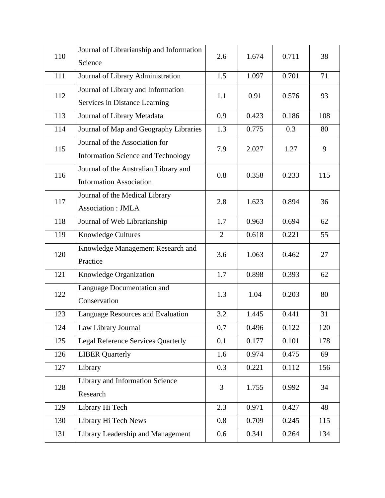| 110 | Journal of Librarianship and Information<br>Science                         | 2.6            | 1.674 | 0.711 | 38  |
|-----|-----------------------------------------------------------------------------|----------------|-------|-------|-----|
| 111 | Journal of Library Administration                                           | 1.5            | 1.097 | 0.701 | 71  |
| 112 | Journal of Library and Information<br>Services in Distance Learning         | 1.1            | 0.91  | 0.576 | 93  |
| 113 | Journal of Library Metadata                                                 | 0.9            | 0.423 | 0.186 | 108 |
| 114 | Journal of Map and Geography Libraries                                      | 1.3            | 0.775 | 0.3   | 80  |
| 115 | Journal of the Association for<br><b>Information Science and Technology</b> | 7.9            | 2.027 | 1.27  | 9   |
| 116 | Journal of the Australian Library and<br><b>Information Association</b>     | 0.8            | 0.358 | 0.233 | 115 |
| 117 | Journal of the Medical Library<br>Association: JMLA                         | 2.8            | 1.623 | 0.894 | 36  |
| 118 | Journal of Web Librarianship                                                | 1.7            | 0.963 | 0.694 | 62  |
| 119 | <b>Knowledge Cultures</b>                                                   | $\overline{2}$ | 0.618 | 0.221 | 55  |
| 120 | Knowledge Management Research and<br>Practice                               | 3.6            | 1.063 | 0.462 | 27  |
| 121 | Knowledge Organization                                                      | 1.7            | 0.898 | 0.393 | 62  |
| 122 | Language Documentation and<br>Conservation                                  | 1.3            | 1.04  | 0.203 | 80  |
| 123 | Language Resources and Evaluation                                           | 3.2            | 1.445 | 0.441 | 31  |
| 124 | Law Library Journal                                                         | 0.7            | 0.496 | 0.122 | 120 |
| 125 | <b>Legal Reference Services Quarterly</b>                                   | 0.1            | 0.177 | 0.101 | 178 |
| 126 | <b>LIBER Quarterly</b>                                                      | 1.6            | 0.974 | 0.475 | 69  |
| 127 | Library                                                                     | 0.3            | 0.221 | 0.112 | 156 |
| 128 | Library and Information Science<br>Research                                 | 3              | 1.755 | 0.992 | 34  |
| 129 | Library Hi Tech                                                             | 2.3            | 0.971 | 0.427 | 48  |
| 130 | Library Hi Tech News                                                        | 0.8            | 0.709 | 0.245 | 115 |
| 131 | Library Leadership and Management                                           | 0.6            | 0.341 | 0.264 | 134 |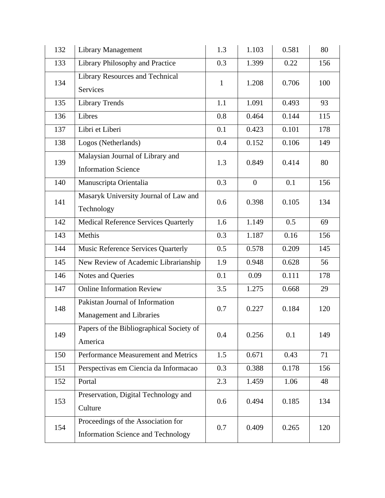| 132 | <b>Library Management</b>                                                       | 1.3 | 1.103            | 0.581 | 80  |
|-----|---------------------------------------------------------------------------------|-----|------------------|-------|-----|
| 133 | Library Philosophy and Practice                                                 | 0.3 | 1.399            | 0.22  | 156 |
| 134 | <b>Library Resources and Technical</b><br>Services                              | 1   | 1.208            | 0.706 | 100 |
| 135 | <b>Library Trends</b>                                                           | 1.1 | 1.091            | 0.493 | 93  |
| 136 | Libres                                                                          | 0.8 | 0.464            | 0.144 | 115 |
| 137 | Libri et Liberi                                                                 | 0.1 | 0.423            | 0.101 | 178 |
| 138 | Logos (Netherlands)                                                             | 0.4 | 0.152            | 0.106 | 149 |
| 139 | Malaysian Journal of Library and<br><b>Information Science</b>                  | 1.3 | 0.849            | 0.414 | 80  |
| 140 | Manuscripta Orientalia                                                          | 0.3 | $\boldsymbol{0}$ | 0.1   | 156 |
| 141 | Masaryk University Journal of Law and<br>Technology                             | 0.6 | 0.398            | 0.105 | 134 |
| 142 | <b>Medical Reference Services Quarterly</b>                                     | 1.6 | 1.149            | 0.5   | 69  |
| 143 | Methis                                                                          | 0.3 | 1.187            | 0.16  | 156 |
| 144 | Music Reference Services Quarterly                                              | 0.5 | 0.578            | 0.209 | 145 |
| 145 | New Review of Academic Librarianship                                            | 1.9 | 0.948            | 0.628 | 56  |
| 146 | Notes and Queries                                                               | 0.1 | 0.09             | 0.111 | 178 |
| 147 | <b>Online Information Review</b>                                                | 3.5 | 1.275            | 0.668 | 29  |
| 148 | Pakistan Journal of Information<br>Management and Libraries                     | 0.7 | 0.227            | 0.184 | 120 |
| 149 | Papers of the Bibliographical Society of<br>America                             | 0.4 | 0.256            | 0.1   | 149 |
| 150 | Performance Measurement and Metrics                                             | 1.5 | 0.671            | 0.43  | 71  |
| 151 | Perspectivas em Ciencia da Informacao                                           | 0.3 | 0.388            | 0.178 | 156 |
| 152 | Portal                                                                          | 2.3 | 1.459            | 1.06  | 48  |
| 153 | Preservation, Digital Technology and<br>Culture                                 | 0.6 | 0.494            | 0.185 | 134 |
| 154 | Proceedings of the Association for<br><b>Information Science and Technology</b> | 0.7 | 0.409            | 0.265 | 120 |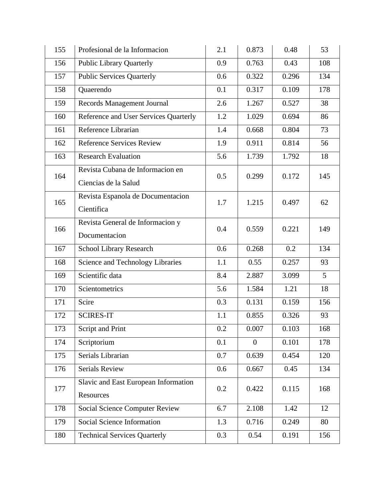| 155 | Profesional de la Informacion                            | 2.1     | 0.873          | 0.48  | 53  |
|-----|----------------------------------------------------------|---------|----------------|-------|-----|
| 156 | <b>Public Library Quarterly</b>                          | 0.9     | 0.763          | 0.43  | 108 |
| 157 | <b>Public Services Quarterly</b>                         | 0.6     | 0.322          | 0.296 | 134 |
| 158 | Quaerendo                                                | 0.1     | 0.317          | 0.109 | 178 |
| 159 | Records Management Journal                               | 2.6     | 1.267          | 0.527 | 38  |
| 160 | Reference and User Services Quarterly                    | 1.2     | 1.029          | 0.694 | 86  |
| 161 | Reference Librarian                                      | 1.4     | 0.668          | 0.804 | 73  |
| 162 | Reference Services Review                                | 1.9     | 0.911          | 0.814 | 56  |
| 163 | <b>Research Evaluation</b>                               | 5.6     | 1.739          | 1.792 | 18  |
| 164 | Revista Cubana de Informacion en<br>Ciencias de la Salud | 0.5     | 0.299          | 0.172 | 145 |
| 165 | Revista Espanola de Documentacion<br>Cientifica          | 1.7     | 1.215          | 0.497 | 62  |
| 166 | Revista General de Informacion y<br>Documentacion        | 0.4     | 0.559          | 0.221 | 149 |
| 167 | School Library Research                                  | 0.6     | 0.268          | 0.2   | 134 |
| 168 | Science and Technology Libraries                         | 1.1     | 0.55           | 0.257 | 93  |
| 169 | Scientific data                                          | 8.4     | 2.887          | 3.099 | 5   |
| 170 | Scientometrics                                           | 5.6     | 1.584          | 1.21  | 18  |
| 171 | Scire                                                    | 0.3     | 0.131          | 0.159 | 156 |
| 172 | <b>SCIRES-IT</b>                                         | 1.1     | 0.855          | 0.326 | 93  |
| 173 | Script and Print                                         | $0.2\,$ | 0.007          | 0.103 | 168 |
| 174 | Scriptorium                                              | 0.1     | $\overline{0}$ | 0.101 | 178 |
| 175 | Serials Librarian                                        | 0.7     | 0.639          | 0.454 | 120 |
| 176 | Serials Review                                           | 0.6     | 0.667          | 0.45  | 134 |
| 177 | Slavic and East European Information<br>Resources        | 0.2     | 0.422          | 0.115 | 168 |
| 178 | <b>Social Science Computer Review</b>                    | 6.7     | 2.108          | 1.42  | 12  |
| 179 | Social Science Information                               | 1.3     | 0.716          | 0.249 | 80  |
| 180 | <b>Technical Services Quarterly</b>                      | 0.3     | 0.54           | 0.191 | 156 |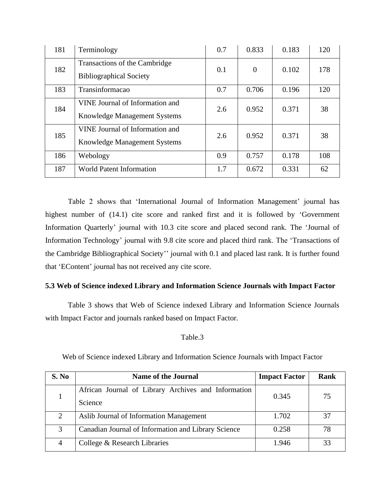| 181 | Terminology                                                            | 0.7 | 0.833          | 0.183 | 120 |
|-----|------------------------------------------------------------------------|-----|----------------|-------|-----|
| 182 | Transactions of the Cambridge<br><b>Bibliographical Society</b>        | 0.1 | $\overline{0}$ | 0.102 | 178 |
| 183 | Transinformacao                                                        | 0.7 | 0.706          | 0.196 | 120 |
| 184 | VINE Journal of Information and<br><b>Knowledge Management Systems</b> | 2.6 | 0.952          | 0.371 | 38  |
| 185 | VINE Journal of Information and<br>Knowledge Management Systems        | 2.6 | 0.952          | 0.371 | 38  |
| 186 | Webology                                                               | 0.9 | 0.757          | 0.178 | 108 |
| 187 | <b>World Patent Information</b>                                        | 1.7 | 0.672          | 0.331 | 62  |

Table 2 shows that 'International Journal of Information Management' journal has highest number of (14.1) cite score and ranked first and it is followed by 'Government Information Quarterly' journal with 10.3 cite score and placed second rank. The 'Journal of Information Technology' journal with 9.8 cite score and placed third rank. The 'Transactions of the Cambridge Bibliographical Society'' journal with 0.1 and placed last rank. It is further found that 'EContent' journal has not received any cite score.

#### **5.3 Web of Science indexed Library and Information Science Journals with Impact Factor**

Table 3 shows that Web of Science indexed Library and Information Science Journals with Impact Factor and journals ranked based on Impact Factor.

#### Table.3

| S. No | <b>Name of the Journal</b>                                     | <b>Impact Factor</b> | Rank |
|-------|----------------------------------------------------------------|----------------------|------|
|       | African Journal of Library Archives and Information<br>Science | 0.345                | 75   |
| 2     | Aslib Journal of Information Management                        | 1.702                | 37   |
| 3     | Canadian Journal of Information and Library Science            | 0.258                | 78   |
| 4     | College & Research Libraries                                   | 1.946                | 33   |

Web of Science indexed Library and Information Science Journals with Impact Factor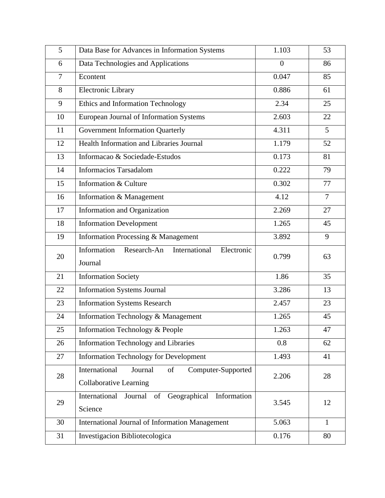| 5              | Data Base for Advances in Information Systems                                         | 1.103          | 53             |
|----------------|---------------------------------------------------------------------------------------|----------------|----------------|
| 6              | Data Technologies and Applications                                                    | $\overline{0}$ | 86             |
| $\overline{7}$ | Econtent                                                                              | 0.047          | 85             |
| 8              | Electronic Library                                                                    | 0.886          | 61             |
| 9              | Ethics and Information Technology                                                     | 2.34           | 25             |
| 10             | European Journal of Information Systems                                               | 2.603          | 22             |
| 11             | Government Information Quarterly                                                      | 4.311          | 5              |
| 12             | Health Information and Libraries Journal                                              | 1.179          | 52             |
| 13             | Informacao & Sociedade-Estudos                                                        | 0.173          | 81             |
| 14             | <b>Informacios Tarsadalom</b>                                                         | 0.222          | 79             |
| 15             | Information & Culture                                                                 | 0.302          | 77             |
| 16             | Information & Management                                                              | 4.12           | $\overline{7}$ |
| 17             | Information and Organization                                                          | 2.269          | 27             |
| 18             | <b>Information Development</b>                                                        | 1.265          | 45             |
| 19             | Information Processing & Management                                                   | 3.892          | 9              |
| 20             | Information<br>Research-An<br>International<br>Electronic<br>Journal                  | 0.799          | 63             |
| 21             | <b>Information Society</b>                                                            | 1.86           | 35             |
| 22             | <b>Information Systems Journal</b>                                                    | 3.286          | 13             |
| 23             | <b>Information Systems Research</b>                                                   | 2.457          | 23             |
| 24             | Information Technology & Management                                                   | 1.265          | 45             |
| 25             | Information Technology & People                                                       | 1.263          | 47             |
| 26             | <b>Information Technology and Libraries</b>                                           | 0.8            | 62             |
| 27             | <b>Information Technology for Development</b>                                         | 1.493          | 41             |
| 28             | International<br>of<br>Journal<br>Computer-Supported<br><b>Collaborative Learning</b> | 2.206          | 28             |
| 29             | Journal<br>Geographical<br>International<br>of<br>Information<br>Science              | 3.545          | 12             |
| 30             | <b>International Journal of Information Management</b>                                | 5.063          | $\mathbf{1}$   |
| 31             | Investigacion Bibliotecologica                                                        | 0.176          | 80             |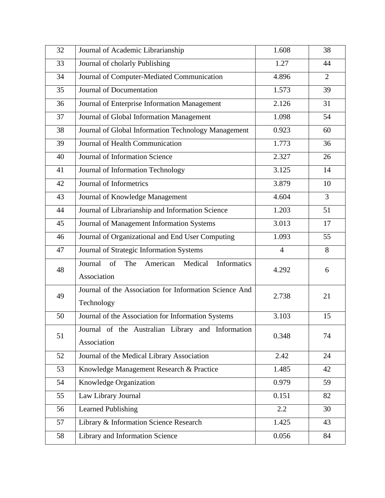| 32 | Journal of Academic Librarianship                                | 1.608          | 38             |
|----|------------------------------------------------------------------|----------------|----------------|
| 33 | Journal of cholarly Publishing                                   | 1.27           | 44             |
| 34 | Journal of Computer-Mediated Communication                       | 4.896          | $\overline{2}$ |
| 35 | Journal of Documentation                                         | 1.573          | 39             |
| 36 | Journal of Enterprise Information Management                     | 2.126          | 31             |
| 37 | Journal of Global Information Management                         | 1.098          | 54             |
| 38 | Journal of Global Information Technology Management              | 0.923          | 60             |
| 39 | Journal of Health Communication                                  | 1.773          | 36             |
| 40 | Journal of Information Science                                   | 2.327          | 26             |
| 41 | Journal of Information Technology                                | 3.125          | 14             |
| 42 | Journal of Informetrics                                          | 3.879          | 10             |
| 43 | Journal of Knowledge Management                                  | 4.604          | 3              |
| 44 | Journal of Librarianship and Information Science                 | 1.203          | 51             |
| 45 | Journal of Management Information Systems                        | 3.013          | 17             |
| 46 | Journal of Organizational and End User Computing                 | 1.093          | 55             |
| 47 | Journal of Strategic Information Systems                         | $\overline{4}$ | 8              |
| 48 | Journal<br>The<br>American<br>Medical<br>Informatics<br>of       | 4.292          | 6              |
|    | Association                                                      |                |                |
| 49 | Journal of the Association for Information Science And           | 2.738          | 21             |
|    | Technology                                                       |                |                |
| 50 | Journal of the Association for Information Systems               | 3.103          | 15             |
| 51 | Journal of the Australian Library and Information<br>Association | 0.348          | 74             |
| 52 | Journal of the Medical Library Association                       | 2.42           | 24             |
| 53 | Knowledge Management Research & Practice                         | 1.485          | 42             |
| 54 | Knowledge Organization                                           | 0.979          | 59             |
| 55 | Law Library Journal                                              | 0.151          | 82             |
| 56 | <b>Learned Publishing</b>                                        | 2.2            | 30             |
| 57 | Library & Information Science Research                           | 1.425          | 43             |
| 58 | Library and Information Science                                  | 0.056          | 84             |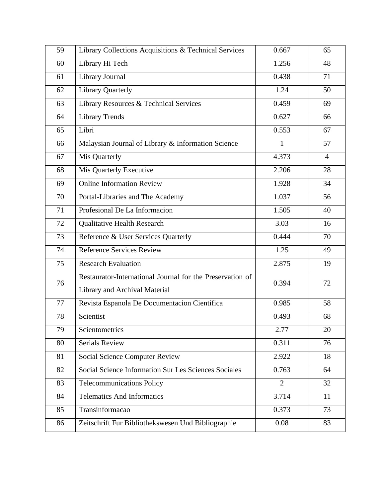| 59 | Library Collections Acquisitions & Technical Services                                      | 0.667          | 65             |
|----|--------------------------------------------------------------------------------------------|----------------|----------------|
| 60 | Library Hi Tech                                                                            | 1.256          | 48             |
| 61 | Library Journal                                                                            | 0.438          | 71             |
| 62 | <b>Library Quarterly</b>                                                                   | 1.24           | 50             |
| 63 | Library Resources & Technical Services                                                     | 0.459          | 69             |
| 64 | <b>Library Trends</b>                                                                      | 0.627          | 66             |
| 65 | Libri                                                                                      | 0.553          | 67             |
| 66 | Malaysian Journal of Library & Information Science                                         | $\mathbf{1}$   | 57             |
| 67 | Mis Quarterly                                                                              | 4.373          | $\overline{4}$ |
| 68 | Mis Quarterly Executive                                                                    | 2.206          | 28             |
| 69 | <b>Online Information Review</b>                                                           | 1.928          | 34             |
| 70 | Portal-Libraries and The Academy                                                           | 1.037          | 56             |
| 71 | Profesional De La Informacion                                                              | 1.505          | 40             |
| 72 | <b>Qualitative Health Research</b>                                                         | 3.03           | 16             |
| 73 | Reference & User Services Quarterly                                                        | 0.444          | 70             |
| 74 | <b>Reference Services Review</b>                                                           | 1.25           | 49             |
| 75 | <b>Research Evaluation</b>                                                                 | 2.875          | 19             |
| 76 | Restaurator-International Journal for the Preservation of<br>Library and Archival Material | 0.394          | 72             |
| 77 | Revista Espanola De Documentacion Científica                                               | 0.985          | 58             |
| 78 | Scientist                                                                                  | 0.493          | 68             |
| 79 | Scientometrics                                                                             | 2.77           | 20             |
| 80 | <b>Serials Review</b>                                                                      | 0.311          | 76             |
| 81 | <b>Social Science Computer Review</b>                                                      | 2.922          | 18             |
| 82 | Social Science Information Sur Les Sciences Sociales                                       | 0.763          | 64             |
| 83 | <b>Telecommunications Policy</b>                                                           | $\overline{2}$ | 32             |
| 84 | <b>Telematics And Informatics</b>                                                          | 3.714          | 11             |
| 85 | Transinformacao                                                                            | 0.373          | 73             |
| 86 | Zeitschrift Fur Bibliothekswesen Und Bibliographie                                         | 0.08           | 83             |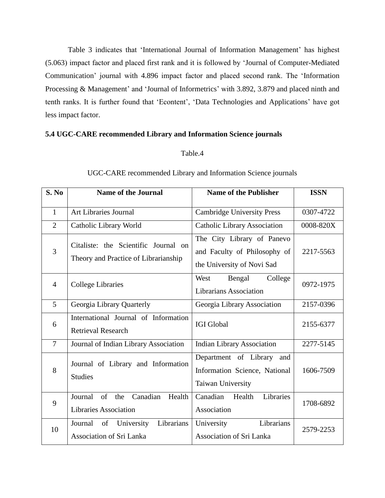Table 3 indicates that 'International Journal of Information Management' has highest (5.063) impact factor and placed first rank and it is followed by 'Journal of Computer-Mediated Communication' journal with 4.896 impact factor and placed second rank. The 'Information Processing & Management' and 'Journal of Informetrics' with 3.892, 3.879 and placed ninth and tenth ranks. It is further found that 'Econtent', 'Data Technologies and Applications' have got less impact factor.

#### **5.4 UGC-CARE recommended Library and Information Science journals**

#### Table.4

| S. No          | <b>Name of the Journal</b>                                                   | <b>Name of the Publisher</b>                                                             | <b>ISSN</b> |
|----------------|------------------------------------------------------------------------------|------------------------------------------------------------------------------------------|-------------|
| $\mathbf{1}$   | <b>Art Libraries Journal</b>                                                 | <b>Cambridge University Press</b>                                                        | 0307-4722   |
| $\overline{2}$ | Catholic Library World                                                       | <b>Catholic Library Association</b>                                                      | 0008-820X   |
| $\overline{3}$ | Citaliste: the Scientific Journal on<br>Theory and Practice of Librarianship | The City Library of Panevo<br>and Faculty of Philosophy of<br>the University of Novi Sad | 2217-5563   |
| $\overline{4}$ | College Libraries                                                            | West<br>Bengal<br>College<br><b>Librarians Association</b>                               | 0972-1975   |
| 5              | Georgia Library Quarterly                                                    | Georgia Library Association                                                              | 2157-0396   |
| 6              | International Journal of Information<br><b>Retrieval Research</b>            | <b>IGI Global</b>                                                                        | 2155-6377   |
| $\overline{7}$ | Journal of Indian Library Association                                        | <b>Indian Library Association</b>                                                        | 2277-5145   |
| 8              | Journal of Library and Information<br><b>Studies</b>                         | Department of Library and<br>Information Science, National<br>Taiwan University          | 1606-7509   |
| 9              | Canadian<br>of<br>Health<br>Journal<br>the<br><b>Libraries Association</b>   | Canadian Health<br>Libraries<br>Association                                              | 1708-6892   |
| 10             | Librarians<br>University<br>Journal<br>of<br>Association of Sri Lanka        | Librarians<br>University<br><b>Association of Sri Lanka</b>                              | 2579-2253   |

#### UGC-CARE recommended Library and Information Science journals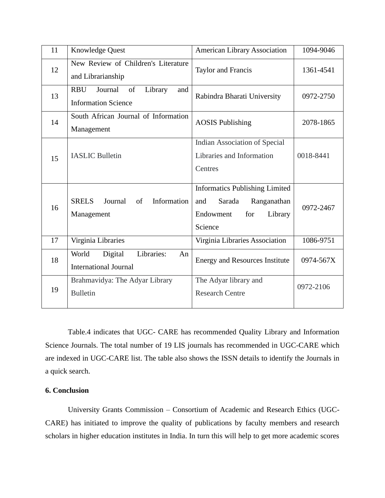| 11 | Knowledge Quest                                                             | <b>American Library Association</b>                                                                             | 1094-9046 |
|----|-----------------------------------------------------------------------------|-----------------------------------------------------------------------------------------------------------------|-----------|
| 12 | New Review of Children's Literature<br>and Librarianship                    | Taylor and Francis                                                                                              | 1361-4541 |
| 13 | <b>RBU</b><br>Journal<br>of<br>Library<br>and<br><b>Information Science</b> | Rabindra Bharati University                                                                                     | 0972-2750 |
| 14 | South African Journal of Information<br>Management                          | <b>AOSIS Publishing</b>                                                                                         | 2078-1865 |
| 15 | <b>IASLIC Bulletin</b>                                                      | Indian Association of Special<br>Libraries and Information<br>Centres                                           | 0018-8441 |
| 16 | <b>SRELS</b><br>Journal<br>Information<br>of<br>Management                  | <b>Informatics Publishing Limited</b><br>Sarada<br>and<br>Ranganathan<br>Endowment<br>for<br>Library<br>Science | 0972-2467 |
| 17 | Virginia Libraries                                                          | Virginia Libraries Association                                                                                  | 1086-9751 |
| 18 | World<br>Libraries:<br>Digital<br>An<br><b>International Journal</b>        | <b>Energy and Resources Institute</b>                                                                           | 0974-567X |
| 19 | Brahmavidya: The Adyar Library<br><b>Bulletin</b>                           | The Adyar library and<br><b>Research Centre</b>                                                                 | 0972-2106 |

Table.4 indicates that UGC- CARE has recommended Quality Library and Information Science Journals. The total number of 19 LIS journals has recommended in UGC-CARE which are indexed in UGC-CARE list. The table also shows the ISSN details to identify the Journals in a quick search.

#### **6. Conclusion**

University Grants Commission – Consortium of Academic and Research Ethics (UGC-CARE) has initiated to improve the quality of publications by faculty members and research scholars in higher education institutes in India. In turn this will help to get more academic scores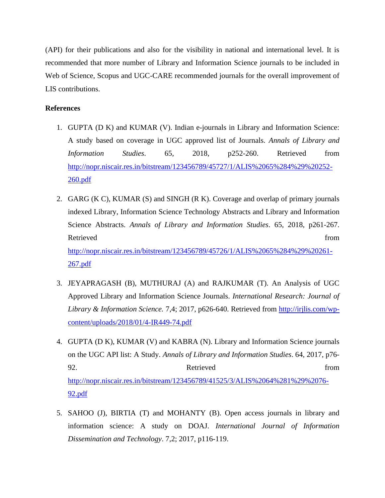(API) for their publications and also for the visibility in national and international level. It is recommended that more number of Library and Information Science journals to be included in Web of Science, Scopus and UGC-CARE recommended journals for the overall improvement of LIS contributions.

#### **References**

- 1. GUPTA (D K) and KUMAR (V). Indian e-journals in Library and Information Science: A study based on coverage in UGC approved list of Journals. *Annals of Library and Information Studies*. 65, 2018, p252-260. Retrieved from [http://nopr.niscair.res.in/bitstream/123456789/45727/1/ALIS%2065%284%29%20252-](http://nopr.niscair.res.in/bitstream/123456789/45727/1/ALIS%2065%284%29%20252-260.pdf) [260.pdf](http://nopr.niscair.res.in/bitstream/123456789/45727/1/ALIS%2065%284%29%20252-260.pdf)
- 2. GARG (K C), KUMAR (S) and SINGH (R K). Coverage and overlap of primary journals indexed Library, Information Science Technology Abstracts and Library and Information Science Abstracts. *Annals of Library and Information Studies*. 65, 2018, p261-267. Retrieved from the state of the state of the state of the state of the state of the state of the state of the state of the state of the state of the state of the state of the state of the state of the state of the state of [http://nopr.niscair.res.in/bitstream/123456789/45726/1/ALIS%2065%284%29%20261-](http://nopr.niscair.res.in/bitstream/123456789/45726/1/ALIS%2065%284%29%20261-267.pdf) [267.pdf](http://nopr.niscair.res.in/bitstream/123456789/45726/1/ALIS%2065%284%29%20261-267.pdf)
- 3. JEYAPRAGASH (B), MUTHURAJ (A) and RAJKUMAR (T). An Analysis of UGC Approved Library and Information Science Journals. *International Research: Journal of Library & Information Science.* 7,4; 2017, p626-640. Retrieved from [http://irjlis.com/wp](http://irjlis.com/wp-content/uploads/2018/01/4-IR449-74.pdf)[content/uploads/2018/01/4-IR449-74.pdf](http://irjlis.com/wp-content/uploads/2018/01/4-IR449-74.pdf)
- 4. GUPTA (D K), KUMAR (V) and KABRA (N). Library and Information Science journals on the UGC API list: A Study. *Annals of Library and Information Studies*. 64, 2017, p76- 92. Retrieved from [http://nopr.niscair.res.in/bitstream/123456789/41525/3/ALIS%2064%281%29%2076-](http://nopr.niscair.res.in/bitstream/123456789/41525/3/ALIS%2064%281%29%2076-92.pdf) [92.pdf](http://nopr.niscair.res.in/bitstream/123456789/41525/3/ALIS%2064%281%29%2076-92.pdf)
- 5. SAHOO (J), BIRTIA (T) and MOHANTY (B). Open access journals in library and information science: A study on DOAJ. *International Journal of Information Dissemination and Technology*. 7,2; 2017, p116-119.